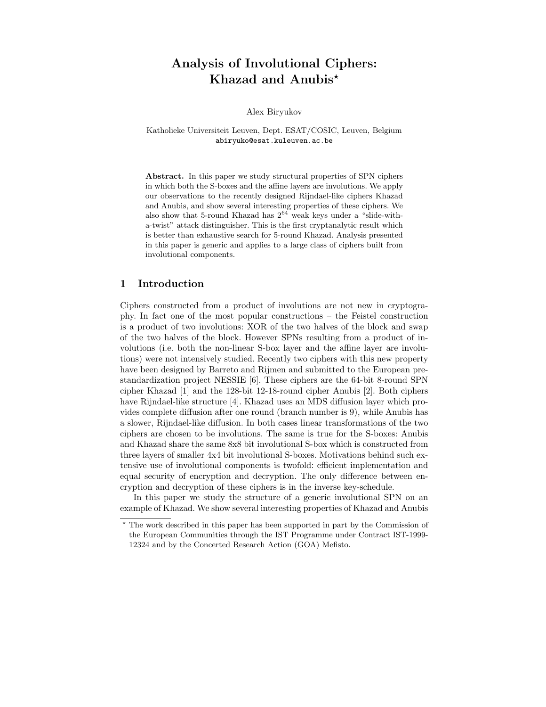# Analysis of Involutional Ciphers: Khazad and Anubis<sup>\*</sup>

Alex Biryukov

Katholieke Universiteit Leuven, Dept. ESAT/COSIC, Leuven, Belgium abiryuko@esat.kuleuven.ac.be

Abstract. In this paper we study structural properties of SPN ciphers in which both the S-boxes and the affine layers are involutions. We apply our observations to the recently designed Rijndael-like ciphers Khazad and Anubis, and show several interesting properties of these ciphers. We also show that 5-round Khazad has  $2^{64}$  weak keys under a "slide-witha-twist" attack distinguisher. This is the first cryptanalytic result which is better than exhaustive search for 5-round Khazad. Analysis presented in this paper is generic and applies to a large class of ciphers built from involutional components.

## 1 Introduction

Ciphers constructed from a product of involutions are not new in cryptography. In fact one of the most popular constructions – the Feistel construction is a product of two involutions: XOR of the two halves of the block and swap of the two halves of the block. However SPNs resulting from a product of involutions (i.e. both the non-linear S-box layer and the affine layer are involutions) were not intensively studied. Recently two ciphers with this new property have been designed by Barreto and Rijmen and submitted to the European prestandardization project NESSIE [6]. These ciphers are the 64-bit 8-round SPN cipher Khazad [1] and the 128-bit 12-18-round cipher Anubis [2]. Both ciphers have Rijndael-like structure [4]. Khazad uses an MDS diffusion layer which provides complete diffusion after one round (branch number is 9), while Anubis has a slower, Rijndael-like diffusion. In both cases linear transformations of the two ciphers are chosen to be involutions. The same is true for the S-boxes: Anubis and Khazad share the same 8x8 bit involutional S-box which is constructed from three layers of smaller 4x4 bit involutional S-boxes. Motivations behind such extensive use of involutional components is twofold: efficient implementation and equal security of encryption and decryption. The only difference between encryption and decryption of these ciphers is in the inverse key-schedule.

In this paper we study the structure of a generic involutional SPN on an example of Khazad. We show several interesting properties of Khazad and Anubis

<sup>?</sup> The work described in this paper has been supported in part by the Commission of the European Communities through the IST Programme under Contract IST-1999- 12324 and by the Concerted Research Action (GOA) Mefisto.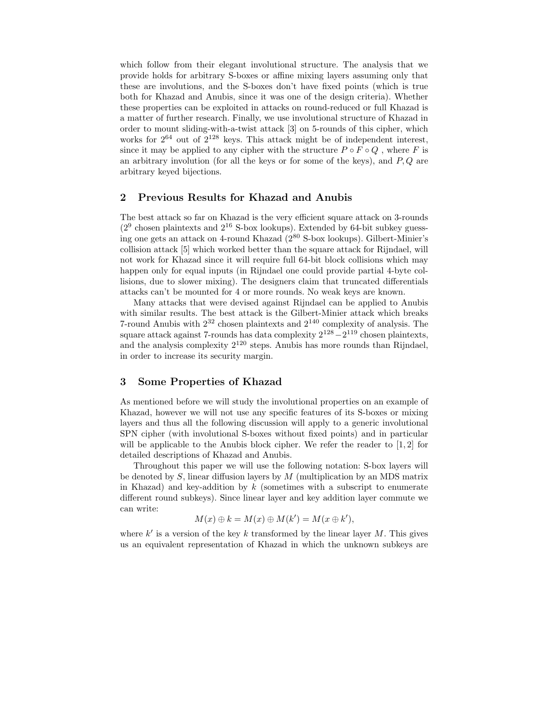which follow from their elegant involutional structure. The analysis that we provide holds for arbitrary S-boxes or affine mixing layers assuming only that these are involutions, and the S-boxes don't have fixed points (which is true both for Khazad and Anubis, since it was one of the design criteria). Whether these properties can be exploited in attacks on round-reduced or full Khazad is a matter of further research. Finally, we use involutional structure of Khazad in order to mount sliding-with-a-twist attack [3] on 5-rounds of this cipher, which works for  $2^{64}$  out of  $2^{128}$  keys. This attack might be of independent interest, since it may be applied to any cipher with the structure  $P \circ F \circ Q$ , where F is an arbitrary involution (for all the keys or for some of the keys), and  $P, Q$  are arbitrary keyed bijections.

## 2 Previous Results for Khazad and Anubis

The best attack so far on Khazad is the very efficient square attack on 3-rounds  $(2^9$  chosen plaintexts and  $2^{16}$  S-box lookups). Extended by 64-bit subkey guessing one gets an attack on 4-round Khazad  $(2^{80} S$ -box lookups). Gilbert-Minier's collision attack [5] which worked better than the square attack for Rijndael, will not work for Khazad since it will require full 64-bit block collisions which may happen only for equal inputs (in Rijndael one could provide partial 4-byte collisions, due to slower mixing). The designers claim that truncated differentials attacks can't be mounted for 4 or more rounds. No weak keys are known.

Many attacks that were devised against Rijndael can be applied to Anubis with similar results. The best attack is the Gilbert-Minier attack which breaks 7-round Anubis with  $2^{32}$  chosen plaintexts and  $2^{140}$  complexity of analysis. The square attack against 7-rounds has data complexity  $2^{128} - 2^{119}$  chosen plaintexts, and the analysis complexity 2 <sup>120</sup> steps. Anubis has more rounds than Rijndael, in order to increase its security margin.

## 3 Some Properties of Khazad

As mentioned before we will study the involutional properties on an example of Khazad, however we will not use any specific features of its S-boxes or mixing layers and thus all the following discussion will apply to a generic involutional SPN cipher (with involutional S-boxes without fixed points) and in particular will be applicable to the Anubis block cipher. We refer the reader to  $[1, 2]$  for detailed descriptions of Khazad and Anubis.

Throughout this paper we will use the following notation: S-box layers will be denoted by  $S$ , linear diffusion layers by  $M$  (multiplication by an MDS matrix in Khazad) and key-addition by  $k$  (sometimes with a subscript to enumerate different round subkeys). Since linear layer and key addition layer commute we can write:

$$
M(x) \oplus k = M(x) \oplus M(k') = M(x \oplus k'),
$$

where  $k'$  is a version of the key k transformed by the linear layer M. This gives us an equivalent representation of Khazad in which the unknown subkeys are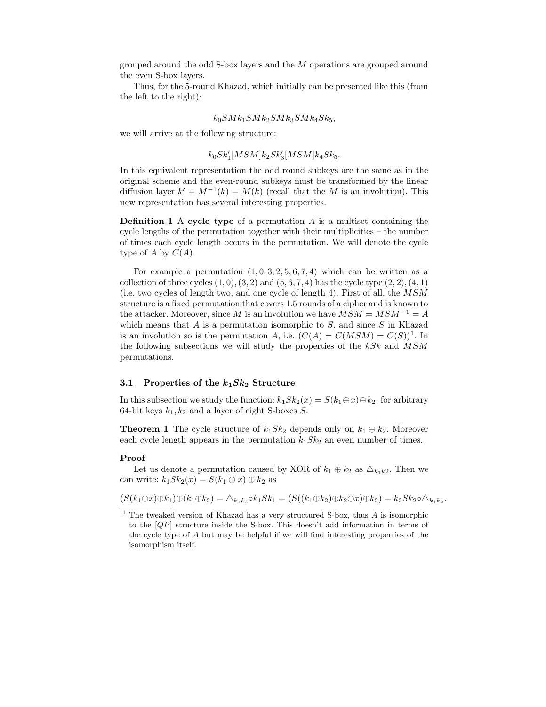grouped around the odd S-box layers and the M operations are grouped around the even S-box layers.

Thus, for the 5-round Khazad, which initially can be presented like this (from the left to the right):

$$
k_0 S M k_1 S M k_2 S M k_3 S M k_4 S k_5,
$$

we will arrive at the following structure:

## $k_0 S k_1' [M S M] k_2 S k_3' [M S M] k_4 S k_5.$

In this equivalent representation the odd round subkeys are the same as in the original scheme and the even-round subkeys must be transformed by the linear diffusion layer  $k' = M^{-1}(k) = M(k)$  (recall that the M is an involution). This new representation has several interesting properties.

**Definition 1** A cycle type of a permutation  $A$  is a multiset containing the cycle lengths of the permutation together with their multiplicities – the number of times each cycle length occurs in the permutation. We will denote the cycle type of A by  $C(A)$ .

For example a permutation  $(1, 0, 3, 2, 5, 6, 7, 4)$  which can be written as a collection of three cycles  $(1, 0), (3, 2)$  and  $(5, 6, 7, 4)$  has the cycle type  $(2, 2), (4, 1)$ (i.e. two cycles of length two, and one cycle of length 4). First of all, the MSM structure is a fixed permutation that covers 1.5 rounds of a cipher and is known to the attacker. Moreover, since M is an involution we have  $MSM = MSM^{-1} = A$ which means that  $A$  is a permutation isomorphic to  $S$ , and since  $S$  in Khazad is an involution so is the permutation A, i.e.  $(C(A) = C(MSM) = C(S))^1$ . In the following subsections we will study the properties of the  $kSk$  and  $MSM$ permutations.

## 3.1 Properties of the  $k_1Sk_2$  Structure

In this subsection we study the function:  $k_1Sk_2(x) = S(k_1 \oplus x) \oplus k_2$ , for arbitrary 64-bit keys  $k_1, k_2$  and a layer of eight S-boxes S.

**Theorem 1** The cycle structure of  $k_1Sk_2$  depends only on  $k_1 \oplus k_2$ . Moreover each cycle length appears in the permutation  $k_1Sk_2$  an even number of times.

#### Proof

Let us denote a permutation caused by XOR of  $k_1 \oplus k_2$  as  $\triangle_{k_1k_2}$ . Then we can write:  $k_1 Sk_2(x) = S(k_1 \oplus x) \oplus k_2$  as

$$
(S(k_1 \oplus x) \oplus k_1) \oplus (k_1 \oplus k_2) = \Delta_{k_1 k_2} \circ k_1 Sk_1 = (S((k_1 \oplus k_2) \oplus k_2 \oplus x) \oplus k_2) = k_2 Sk_2 \circ \Delta_{k_1 k_2}.
$$

 $1$  The tweaked version of Khazad has a very structured S-box, thus A is isomorphic to the  $[QP]$  structure inside the S-box. This doesn't add information in terms of the cycle type of A but may be helpful if we will find interesting properties of the isomorphism itself.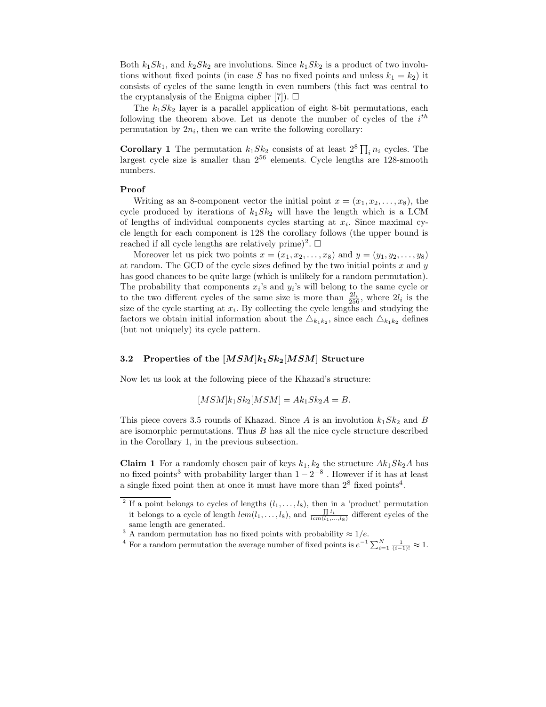Both  $k_1Sk_1$ , and  $k_2Sk_2$  are involutions. Since  $k_1Sk_2$  is a product of two involutions without fixed points (in case S has no fixed points and unless  $k_1 = k_2$ ) it consists of cycles of the same length in even numbers (this fact was central to the cryptanalysis of the Enigma cipher [7]).  $\Box$ 

The  $k_1 S k_2$  layer is a parallel application of eight 8-bit permutations, each following the theorem above. Let us denote the number of cycles of the  $i^{th}$ permutation by  $2n_i$ , then we can write the following corollary:

**Corollary 1** The permutation  $k_1 S k_2$  consists of at least  $2^8 \prod_i n_i$  cycles. The largest cycle size is smaller than  $2^{56}$  elements. Cycle lengths are 128-smooth numbers.

### Proof

Writing as an 8-component vector the initial point  $x = (x_1, x_2, \ldots, x_8)$ , the cycle produced by iterations of  $k_1 S k_2$  will have the length which is a LCM of lengths of individual components cycles starting at  $x_i$ . Since maximal cycle length for each component is 128 the corollary follows (the upper bound is reached if all cycle lengths are relatively prime)<sup>2</sup>.  $\Box$ 

Moreover let us pick two points  $x = (x_1, x_2, \ldots, x_8)$  and  $y = (y_1, y_2, \ldots, y_8)$ at random. The GCD of the cycle sizes defined by the two initial points  $x$  and  $y$ has good chances to be quite large (which is unlikely for a random permutation). The probability that components  $x_i$ 's and  $y_i$ 's will belong to the same cycle or to the two different cycles of the same size is more than  $\frac{2l_i}{256}$ , where  $2l_i$  is the size of the cycle starting at  $x_i$ . By collecting the cycle lengths and studying the factors we obtain initial information about the  $\Delta_{k_1k_2}$ , since each  $\Delta_{k_1k_2}$  defines (but not uniquely) its cycle pattern.

### 3.2 Properties of the  $[MSM]k_1Sk_2[MSM]$  Structure

Now let us look at the following piece of the Khazad's structure:

$$
[MSM]k_1Sk_2[MSM] = Ak_1Sk_2A = B.
$$

This piece covers 3.5 rounds of Khazad. Since A is an involution  $k_1Sk_2$  and B are isomorphic permutations. Thus  $B$  has all the nice cycle structure described in the Corollary 1, in the previous subsection.

**Claim 1** For a randomly chosen pair of keys  $k_1, k_2$  the structure  $Ak_1Sk_2A$  has no fixed points<sup>3</sup> with probability larger than  $1-2^{-8}$ . However if it has at least a single fixed point then at once it must have more than  $2^8$  fixed points<sup>4</sup>.

<sup>4</sup> For a random permutation the average number of fixed points is  $e^{-1} \sum_{i=1}^{N} \frac{1}{(i-1)!} \approx 1$ .

<sup>&</sup>lt;sup>2</sup> If a point belongs to cycles of lengths  $(l_1, \ldots, l_8)$ , then in a 'product' permutation it belongs to a cycle of length  $lcm(l_1,\ldots,l_8)$ , and  $\frac{\prod l_i}{lcm(l_1,\ldots,l_8)}$  different cycles of the same length are generated.

<sup>&</sup>lt;sup>3</sup> A random permutation has no fixed points with probability  $\approx 1/e$ .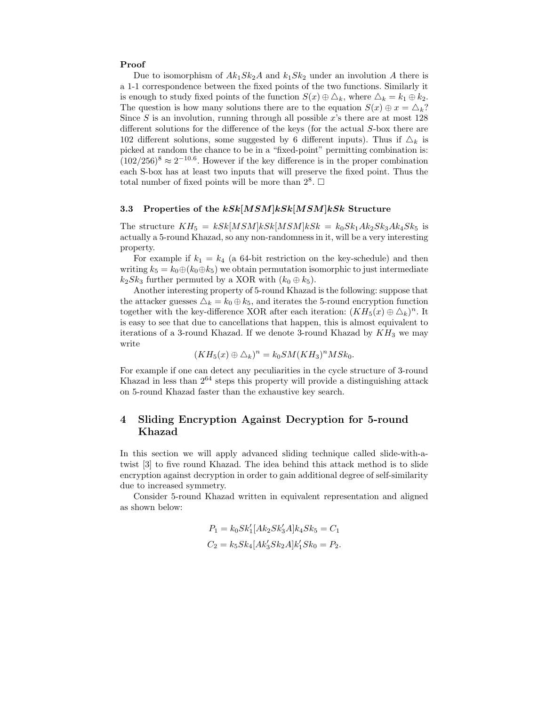#### Proof

Due to isomorphism of  $Ak_1Sk_2A$  and  $k_1Sk_2$  under an involution A there is a 1-1 correspondence between the fixed points of the two functions. Similarly it is enough to study fixed points of the function  $S(x) \oplus \Delta_k$ , where  $\Delta_k = k_1 \oplus k_2$ . The question is how many solutions there are to the equation  $S(x) \oplus x = \Delta_k$ ? Since  $S$  is an involution, running through all possible  $x$ 's there are at most 128 different solutions for the difference of the keys (for the actual S-box there are 102 different solutions, some suggested by 6 different inputs). Thus if  $\Delta_k$  is picked at random the chance to be in a "fixed-point" permitting combination is:  $(102/256)^8 \approx 2^{-10.6}$ . However if the key difference is in the proper combination each S-box has at least two inputs that will preserve the fixed point. Thus the total number of fixed points will be more than  $2^8$ .  $\Box$ 

## 3.3 Properties of the  $kSk[MSM]kSk[MSM]kSk$  Structure

The structure  $KH_5 = kSk[MSM]kSk[MSM]kSk = k_0Sk_1Ak_2Sk_3Ak_4Sk_5$  is actually a 5-round Khazad, so any non-randomness in it, will be a very interesting property.

For example if  $k_1 = k_4$  (a 64-bit restriction on the key-schedule) and then writing  $k_5 = k_0 \oplus (k_0 \oplus k_5)$  we obtain permutation isomorphic to just intermediate  $k_2Sk_3$  further permuted by a XOR with  $(k_0 \oplus k_5)$ .

Another interesting property of 5-round Khazad is the following: suppose that the attacker guesses  $\Delta_k = k_0 \oplus k_5$ , and iterates the 5-round encryption function together with the key-difference XOR after each iteration:  $(KH_5(x) \oplus \Delta_k)^n$ . It is easy to see that due to cancellations that happen, this is almost equivalent to iterations of a 3-round Khazad. If we denote 3-round Khazad by  $KH_3$  we may write

$$
(KH_5(x)\oplus \triangle_k)^n = k_0 SM(KH_3)^n MSk_0.
$$

For example if one can detect any peculiarities in the cycle structure of 3-round Khazad in less than  $2^{64}$  steps this property will provide a distinguishing attack on 5-round Khazad faster than the exhaustive key search.

## 4 Sliding Encryption Against Decryption for 5-round Khazad

In this section we will apply advanced sliding technique called slide-with-atwist [3] to five round Khazad. The idea behind this attack method is to slide encryption against decryption in order to gain additional degree of self-similarity due to increased symmetry.

Consider 5-round Khazad written in equivalent representation and aligned as shown below:

$$
P_1 = k_0 S k_1' [Ak_2 S k_3' A] k_4 S k_5 = C_1
$$
  

$$
C_2 = k_5 S k_4 [Ak_3' S k_2 A] k_1' S k_0 = P_2.
$$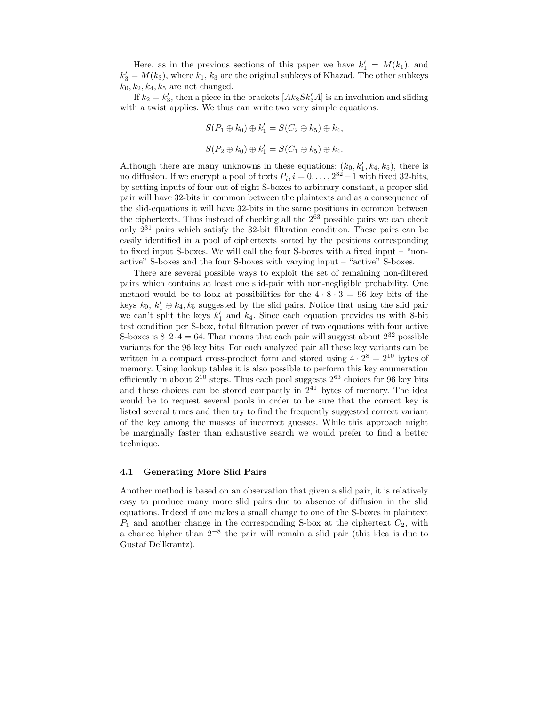Here, as in the previous sections of this paper we have  $k'_1 = M(k_1)$ , and  $k'_3 = M(k_3)$ , where  $k_1, k_3$  are the original subkeys of Khazad. The other subkeys  $k_0, k_2, k_4, k_5$  are not changed.

If  $k_2 = k'_3$ , then a piece in the brackets  $[Ak_2 S k'_3 A]$  is an involution and sliding with a twist applies. We thus can write two very simple equations:

$$
S(P_1 \oplus k_0) \oplus k'_1 = S(C_2 \oplus k_5) \oplus k_4,
$$
  

$$
S(P_2 \oplus k_0) \oplus k'_1 = S(C_1 \oplus k_5) \oplus k_4.
$$

Although there are many unknowns in these equations:  $(k_0, k'_1, k_4, k_5)$ , there is no diffusion. If we encrypt a pool of texts  $P_i$ ,  $i = 0, \ldots, 2^{32} - 1$  with fixed 32-bits, by setting inputs of four out of eight S-boxes to arbitrary constant, a proper slid pair will have 32-bits in common between the plaintexts and as a consequence of the slid-equations it will have 32-bits in the same positions in common between the ciphertexts. Thus instead of checking all the  $2^{63}$  possible pairs we can check only 2 <sup>31</sup> pairs which satisfy the 32-bit filtration condition. These pairs can be easily identified in a pool of ciphertexts sorted by the positions corresponding to fixed input S-boxes. We will call the four S-boxes with a fixed input – "nonactive" S-boxes and the four S-boxes with varying input – "active" S-boxes.

There are several possible ways to exploit the set of remaining non-filtered pairs which contains at least one slid-pair with non-negligible probability. One method would be to look at possibilities for the  $4 \cdot 8 \cdot 3 = 96$  key bits of the keys  $k_0, k'_1 \oplus k_4, k_5$  suggested by the slid pairs. Notice that using the slid pair we can't split the keys  $k'_1$  and  $k_4$ . Since each equation provides us with 8-bit test condition per S-box, total filtration power of two equations with four active S-boxes is  $8 \cdot 2 \cdot 4 = 64$ . That means that each pair will suggest about  $2^{32}$  possible variants for the 96 key bits. For each analyzed pair all these key variants can be written in a compact cross-product form and stored using  $4 \cdot 2^8 = 2^{10}$  bytes of memory. Using lookup tables it is also possible to perform this key enumeration efficiently in about  $2^{10}$  steps. Thus each pool suggests  $2^{63}$  choices for 96 key bits and these choices can be stored compactly in  $2^{41}$  bytes of memory. The idea would be to request several pools in order to be sure that the correct key is listed several times and then try to find the frequently suggested correct variant of the key among the masses of incorrect guesses. While this approach might be marginally faster than exhaustive search we would prefer to find a better technique.

#### 4.1 Generating More Slid Pairs

Another method is based on an observation that given a slid pair, it is relatively easy to produce many more slid pairs due to absence of diffusion in the slid equations. Indeed if one makes a small change to one of the S-boxes in plaintext  $P_1$  and another change in the corresponding S-box at the ciphertext  $C_2$ , with a chance higher than  $2^{-8}$  the pair will remain a slid pair (this idea is due to Gustaf Dellkrantz).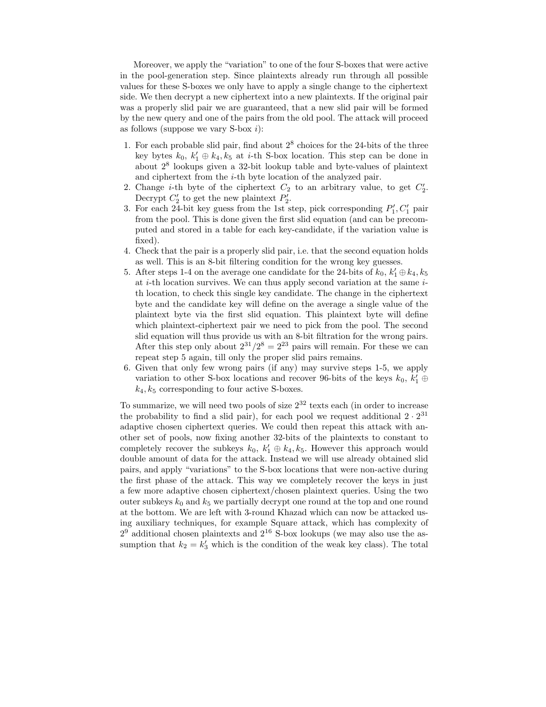Moreover, we apply the "variation" to one of the four S-boxes that were active in the pool-generation step. Since plaintexts already run through all possible values for these S-boxes we only have to apply a single change to the ciphertext side. We then decrypt a new ciphertext into a new plaintexts. If the original pair was a properly slid pair we are guaranteed, that a new slid pair will be formed by the new query and one of the pairs from the old pool. The attack will proceed as follows (suppose we vary  $S-box i$ ):

- 1. For each probable slid pair, find about 2 8 choices for the 24-bits of the three key bytes  $k_0, k'_1 \oplus k_4, k_5$  at *i*-th S-box location. This step can be done in about 2 8 lookups given a 32-bit lookup table and byte-values of plaintext and ciphertext from the  $i$ -th byte location of the analyzed pair.
- 2. Change *i*-th byte of the ciphertext  $C_2$  to an arbitrary value, to get  $C_2'$ . Decrypt  $C_2'$  to get the new plaintext  $P_2'$ .
- 3. For each 24-bit key guess from the 1st step, pick corresponding  $P'_1, C'_1$  pair from the pool. This is done given the first slid equation (and can be precomputed and stored in a table for each key-candidate, if the variation value is fixed).
- 4. Check that the pair is a properly slid pair, i.e. that the second equation holds as well. This is an 8-bit filtering condition for the wrong key guesses.
- 5. After steps 1-4 on the average one candidate for the 24-bits of  $k_0, k'_1 \oplus k_4, k_5$ at  $i$ -th location survives. We can thus apply second variation at the same  $i$ th location, to check this single key candidate. The change in the ciphertext byte and the candidate key will define on the average a single value of the plaintext byte via the first slid equation. This plaintext byte will define which plaintext-ciphertext pair we need to pick from the pool. The second slid equation will thus provide us with an 8-bit filtration for the wrong pairs. After this step only about  $2^{31}/2^8 = 2^{23}$  pairs will remain. For these we can repeat step 5 again, till only the proper slid pairs remains.
- 6. Given that only few wrong pairs (if any) may survive steps 1-5, we apply variation to other S-box locations and recover 96-bits of the keys  $k_0, k'_1 \oplus$  $k_4, k_5$  corresponding to four active S-boxes.

To summarize, we will need two pools of size 2 <sup>32</sup> texts each (in order to increase the probability to find a slid pair), for each pool we request additional  $2 \cdot 2^{31}$ adaptive chosen ciphertext queries. We could then repeat this attack with another set of pools, now fixing another 32-bits of the plaintexts to constant to completely recover the subkeys  $k_0, k'_1 \oplus k_4, k_5$ . However this approach would double amount of data for the attack. Instead we will use already obtained slid pairs, and apply "variations" to the S-box locations that were non-active during the first phase of the attack. This way we completely recover the keys in just a few more adaptive chosen ciphertext/chosen plaintext queries. Using the two outer subkeys  $k_0$  and  $k_5$  we partially decrypt one round at the top and one round at the bottom. We are left with 3-round Khazad which can now be attacked using auxiliary techniques, for example Square attack, which has complexity of  $2<sup>9</sup>$  additional chosen plaintexts and  $2<sup>16</sup>$  S-box lookups (we may also use the assumption that  $k_2 = k'_3$  which is the condition of the weak key class). The total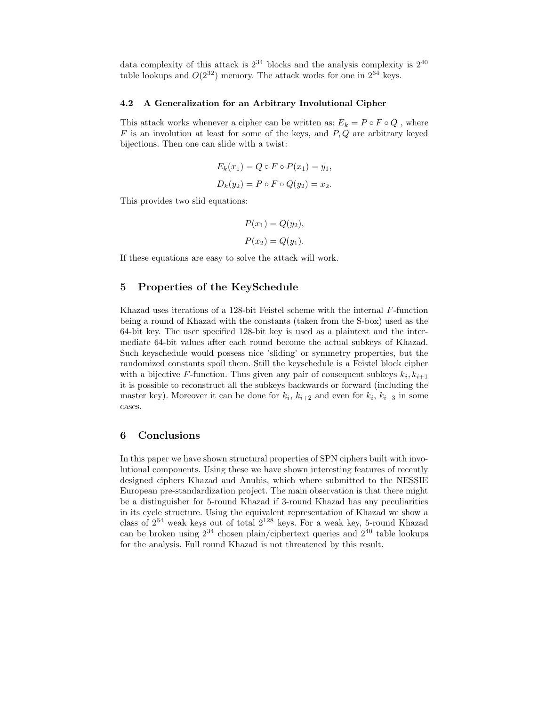data complexity of this attack is  $2^{34}$  blocks and the analysis complexity is  $2^{40}$ table lookups and  $O(2^{32})$  memory. The attack works for one in  $2^{64}$  keys.

#### 4.2 A Generalization for an Arbitrary Involutional Cipher

This attack works whenever a cipher can be written as:  $E_k = P \circ F \circ Q$ , where  $F$  is an involution at least for some of the keys, and  $P, Q$  are arbitrary keyed bijections. Then one can slide with a twist:

$$
E_k(x_1) = Q \circ F \circ P(x_1) = y_1,
$$
  

$$
D_k(y_2) = P \circ F \circ Q(y_2) = x_2.
$$

This provides two slid equations:

$$
P(x_1) = Q(y_2),
$$
  

$$
P(x_2) = Q(y_1).
$$

If these equations are easy to solve the attack will work.

### 5 Properties of the KeySchedule

Khazad uses iterations of a 128-bit Feistel scheme with the internal F-function being a round of Khazad with the constants (taken from the S-box) used as the 64-bit key. The user specified 128-bit key is used as a plaintext and the intermediate 64-bit values after each round become the actual subkeys of Khazad. Such keyschedule would possess nice 'sliding' or symmetry properties, but the randomized constants spoil them. Still the keyschedule is a Feistel block cipher with a bijective F-function. Thus given any pair of consequent subkeys  $k_i, k_{i+1}$ it is possible to reconstruct all the subkeys backwards or forward (including the master key). Moreover it can be done for  $k_i$ ,  $k_{i+2}$  and even for  $k_i$ ,  $k_{i+3}$  in some cases.

## 6 Conclusions

In this paper we have shown structural properties of SPN ciphers built with involutional components. Using these we have shown interesting features of recently designed ciphers Khazad and Anubis, which where submitted to the NESSIE European pre-standardization project. The main observation is that there might be a distinguisher for 5-round Khazad if 3-round Khazad has any peculiarities in its cycle structure. Using the equivalent representation of Khazad we show a class of  $2^{64}$  weak keys out of total  $2^{128}$  keys. For a weak key, 5-round Khazad can be broken using  $2^{34}$  chosen plain/ciphertext queries and  $2^{40}$  table lookups for the analysis. Full round Khazad is not threatened by this result.